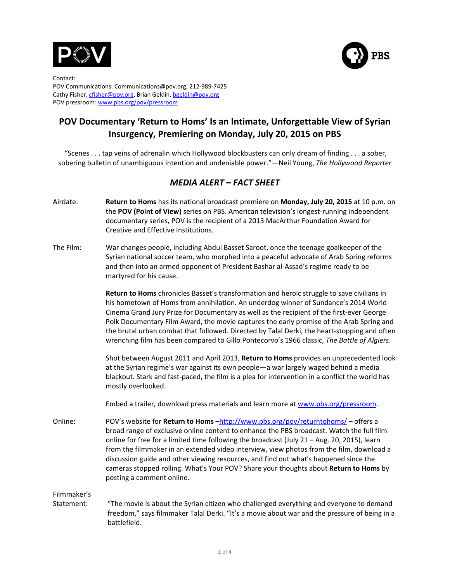



Contact: POV Communications: Communications@pov.org, 212-989-7425 Cathy Fisher, cfisher@pov.org, Brian Geldin, bgeldin@pov.org POV pressroom: www.pbs.org/pov/pressroom

# **POV Documentary 'Return to Homs' Is an Intimate, Unforgettable View of Syrian Insurgency, Premiering on Monday, July 20, 2015 on PBS**

"Scenes . . . tap veins of adrenalin which Hollywood blockbusters can only dream of finding . . . a sober, sobering bulletin of unambiguous intention and undeniable power."—Neil Young, The Hollywood Reporter

# *MEDIA ALERT – FACT SHEET*

- Airdate: **Return to Homs** has its national broadcast premiere on **Monday, July 20, 2015** at 10 p.m. on the **POV (Point of View)** series on PBS. American television's longest-running independent documentary series, POV is the recipient of a 2013 MacArthur Foundation Award for Creative and Effective Institutions.
- The Film: War changes people, including Abdul Basset Saroot, once the teenage goalkeeper of the Syrian national soccer team, who morphed into a peaceful advocate of Arab Spring reforms and then into an armed opponent of President Bashar al-Assad's regime ready to be martyred for his cause.

**Return to Homs** chronicles Basset's transformation and heroic struggle to save civilians in his hometown of Homs from annihilation. An underdog winner of Sundance's 2014 World Cinema Grand Jury Prize for Documentary as well as the recipient of the first-ever George Polk Documentary Film Award, the movie captures the early promise of the Arab Spring and the brutal urban combat that followed. Directed by Talal Derki, the heart-stopping and often wrenching film has been compared to Gillo Pontecorvo's 1966 classic, The Battle of Algiers.

Shot between August 2011 and April 2013, Return to Homs provides an unprecedented look at the Syrian regime's war against its own people—a war largely waged behind a media blackout. Stark and fast-paced, the film is a plea for intervention in a conflict the world has mostly overlooked.

Embed a trailer, download press materials and learn more at www.pbs.org/pressroom.

Online: POV's website for **Return to Homs** -http://www.pbs.org/pov/returntohoms/ – offers a broad range of exclusive online content to enhance the PBS broadcast. Watch the full film online for free for a limited time following the broadcast (July  $21 - \text{Aug. } 20$ , 2015), learn from the filmmaker in an extended video interview, view photos from the film, download a discussion guide and other viewing resources, and find out what's happened since the cameras stopped rolling. What's Your POV? Share your thoughts about Return to Homs by posting a comment online.

Filmmaker's 

Statement: "The movie is about the Syrian citizen who challenged everything and everyone to demand freedom," says filmmaker Talal Derki. "It's a movie about war and the pressure of being in a battlefield.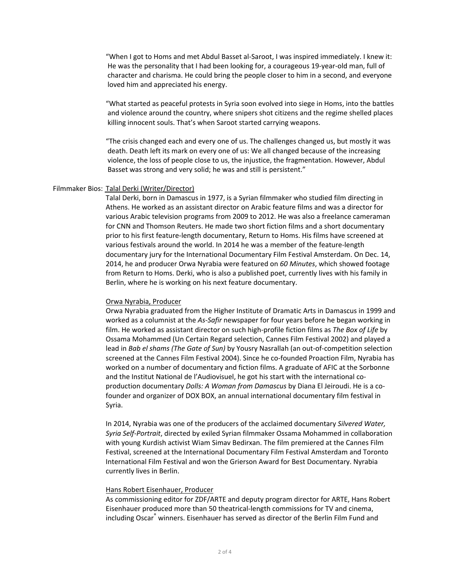"When I got to Homs and met Abdul Basset al-Saroot, I was inspired immediately. I knew it: He was the personality that I had been looking for, a courageous 19-year-old man, full of character and charisma. He could bring the people closer to him in a second, and everyone loved him and appreciated his energy.

"What started as peaceful protests in Syria soon evolved into siege in Homs, into the battles and violence around the country, where snipers shot citizens and the regime shelled places killing innocent souls. That's when Saroot started carrying weapons.

"The crisis changed each and every one of us. The challenges changed us, but mostly it was death. Death left its mark on every one of us: We all changed because of the increasing violence, the loss of people close to us, the injustice, the fragmentation. However, Abdul Basset was strong and very solid; he was and still is persistent."

#### Filmmaker Bios: Talal Derki (Writer/Director)

Talal Derki, born in Damascus in 1977, is a Syrian filmmaker who studied film directing in Athens. He worked as an assistant director on Arabic feature films and was a director for various Arabic television programs from 2009 to 2012. He was also a freelance cameraman for CNN and Thomson Reuters. He made two short fiction films and a short documentary prior to his first feature-length documentary, Return to Homs. His films have screened at various festivals around the world. In 2014 he was a member of the feature-length documentary jury for the International Documentary Film Festival Amsterdam. On Dec. 14, 2014, he and producer Orwa Nyrabia were featured on 60 Minutes, which showed footage from Return to Homs. Derki, who is also a published poet, currently lives with his family in Berlin, where he is working on his next feature documentary.

## Orwa Nyrabia, Producer

Orwa Nyrabia graduated from the Higher Institute of Dramatic Arts in Damascus in 1999 and worked as a columnist at the As-Safir newspaper for four years before he began working in film. He worked as assistant director on such high-profile fiction films as *The Box of Life* by Ossama Mohammed (Un Certain Regard selection, Cannes Film Festival 2002) and played a lead in *Bab el shams (The Gate of Sun)* by Yousry Nasrallah (an out-of-competition selection screened at the Cannes Film Festival 2004). Since he co-founded Proaction Film, Nyrabia has worked on a number of documentary and fiction films. A graduate of AFIC at the Sorbonne and the Institut National de l'Audiovisuel, he got his start with the international coproduction documentary *Dolls: A Woman from Damascus* by Diana El Jeiroudi. He is a cofounder and organizer of DOX BOX, an annual international documentary film festival in Syria. 

In 2014, Nyrabia was one of the producers of the acclaimed documentary *Silvered Water*, *Syria Self-Portrait*, directed by exiled Syrian filmmaker Ossama Mohammed in collaboration with young Kurdish activist Wiam Simav Bedirxan. The film premiered at the Cannes Film Festival, screened at the International Documentary Film Festival Amsterdam and Toronto International Film Festival and won the Grierson Award for Best Documentary. Nyrabia currently lives in Berlin.

## Hans Robert Eisenhauer, Producer

As commissioning editor for ZDF/ARTE and deputy program director for ARTE, Hans Robert Eisenhauer produced more than 50 theatrical-length commissions for TV and cinema, including Oscar<sup>®</sup> winners. Eisenhauer has served as director of the Berlin Film Fund and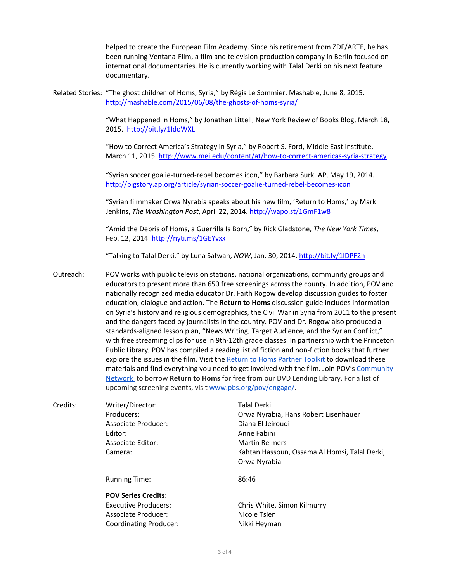helped to create the European Film Academy. Since his retirement from ZDF/ARTE, he has been running Ventana-Film, a film and television production company in Berlin focused on international documentaries. He is currently working with Talal Derki on his next feature documentary.

Related Stories: "The ghost children of Homs, Syria," by Régis Le Sommier, Mashable, June 8, 2015. http://mashable.com/2015/06/08/the-ghosts-of-homs-syria/

> "What Happened in Homs," by Jonathan Littell, New York Review of Books Blog, March 18, 2015. http://bit.ly/1IdoWXL

> "How to Correct America's Strategy in Syria," by Robert S. Ford, Middle East Institute, March 11, 2015. http://www.mei.edu/content/at/how-to-correct-americas-syria-strategy

"Syrian soccer goalie-turned-rebel becomes icon," by Barbara Surk, AP, May 19, 2014. http://bigstory.ap.org/article/syrian-soccer-goalie-turned-rebel-becomes-icon

"Syrian filmmaker Orwa Nyrabia speaks about his new film, 'Return to Homs,' by Mark Jenkins, *The Washington Post*, April 22, 2014. http://wapo.st/1GmF1w8

"Amid the Debris of Homs, a Guerrilla Is Born," by Rick Gladstone, The New York Times, Feb. 12, 2014. http://nyti.ms/1GEYvxx

"Talking to Talal Derki," by Luna Safwan, *NOW*, Jan. 30, 2014. http://bit.ly/1IDPF2h

Outreach: POV works with public television stations, national organizations, community groups and educators to present more than 650 free screenings across the county. In addition, POV and nationally recognized media educator Dr. Faith Rogow develop discussion guides to foster education, dialogue and action. The **Return to Homs** discussion guide includes information on Syria's history and religious demographics, the Civil War in Syria from 2011 to the present and the dangers faced by journalists in the country. POV and Dr. Rogow also produced a standards-aligned lesson plan, "News Writing, Target Audience, and the Syrian Conflict," with free streaming clips for use in 9th-12th grade classes. In partnership with the Princeton Public Library, POV has compiled a reading list of fiction and non-fiction books that further explore the issues in the film. Visit the Return to Homs Partner Toolkit to download these materials and find everything you need to get involved with the film. Join POV's Community Network to borrow **Return to Homs** for free from our DVD Lending Library. For a list of upcoming screening events, visit www.pbs.org/pov/engage/.

Credits: Writer/Director: Talal Derki Producers: The Corwa Nyrabia, Hans Robert Eisenhauer Associate Producer: Diana El Jeiroudi Editor: 
Base Communication Anne Fabini Associate Editor: Martin Reimers Camera: Camera: Camera: Camera: Camera: Camera: Camera: Camera: Camera: Camera: Camera: Camera: Camera: Camera: Camera: Camera: Camera: Camera: Camera: Camera: Camera: Camera: Camera: Camera: Camera: Camera: Camera: Camera Orwa Nyrabia Running Time: 86:46 **POV Series Credits:** Executive Producers: Chris White, Simon Kilmurry Associate Producer: Nicole Tsien Coordinating Producer: Nikki Heyman